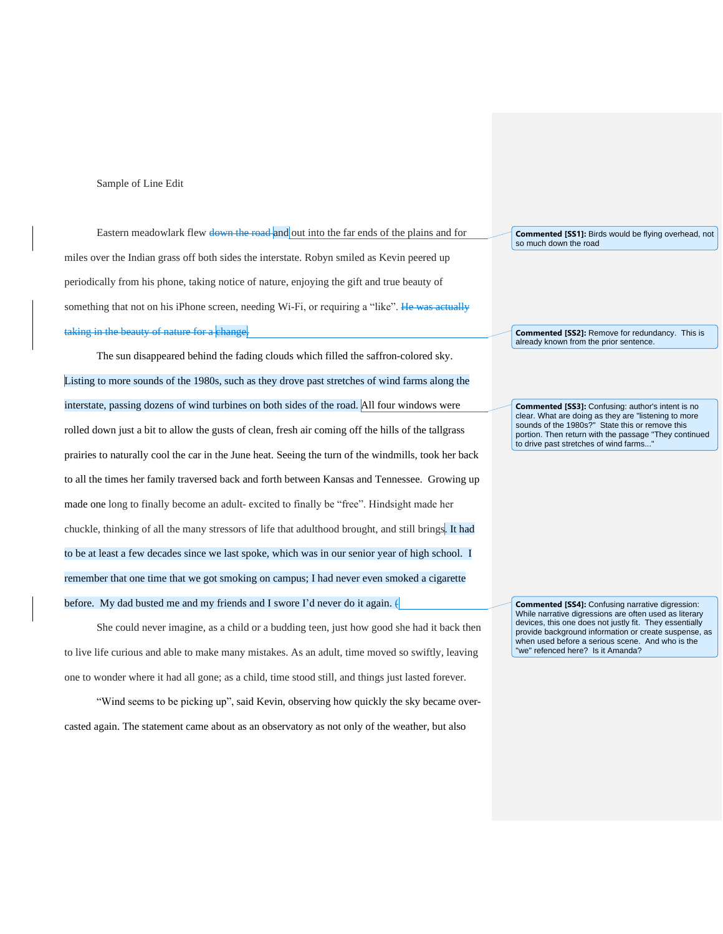## Sample of Line Edit

Eastern meadowlark flew down the road and out into the far ends of the plains and for miles over the Indian grass off both sides the interstate. Robyn smiled as Kevin peered up periodically from his phone, taking notice of nature, enjoying the gift and true beauty of something that not on his iPhone screen, needing Wi-Fi, or requiring a "like". He was actually taking in the beauty of nature for a change.

The sun disappeared behind the fading clouds which filled the saffron-colored sky. Listing to more sounds of the 1980s, such as they drove past stretches of wind farms along the interstate, passing dozens of wind turbines on both sides of the road. All four windows were rolled down just a bit to allow the gusts of clean, fresh air coming off the hills of the tallgrass prairies to naturally cool the car in the June heat. Seeing the turn of the windmills, took her back to all the times her family traversed back and forth between Kansas and Tennessee. Growing up made one long to finally become an adult- excited to finally be "free". Hindsight made her chuckle, thinking of all the many stressors of life that adulthood brought, and still brings. It had to be at least a few decades since we last spoke, which was in our senior year of high school. I remember that one time that we got smoking on campus; I had never even smoked a cigarette before. My dad busted me and my friends and I swore I'd never do it again.  $\theta$ 

She could never imagine, as a child or a budding teen, just how good she had it back then to live life curious and able to make many mistakes. As an adult, time moved so swiftly, leaving one to wonder where it had all gone; as a child, time stood still, and things just lasted forever.

"Wind seems to be picking up", said Kevin, observing how quickly the sky became overcasted again. The statement came about as an observatory as not only of the weather, but also

**Commented [SS1]:** Birds would be flying overhead, not so much down the road

**Commented [SS2]:** Remove for redundancy. This is already known from the prior sentence.

**Commented [SS3]:** Confusing: author's intent is no clear. What are doing as they are "listening to more sounds of the 1980s?" State this or remove this portion. Then return with the passage "They continued to drive past stretches of wind farms...

**Commented [SS4]:** Confusing narrative digression: While narrative digressions are often used as literary devices, this one does not justly fit. They essentially provide background information or create suspense, as when used before a serious scene. And who is the "we" refenced here? Is it Amanda?